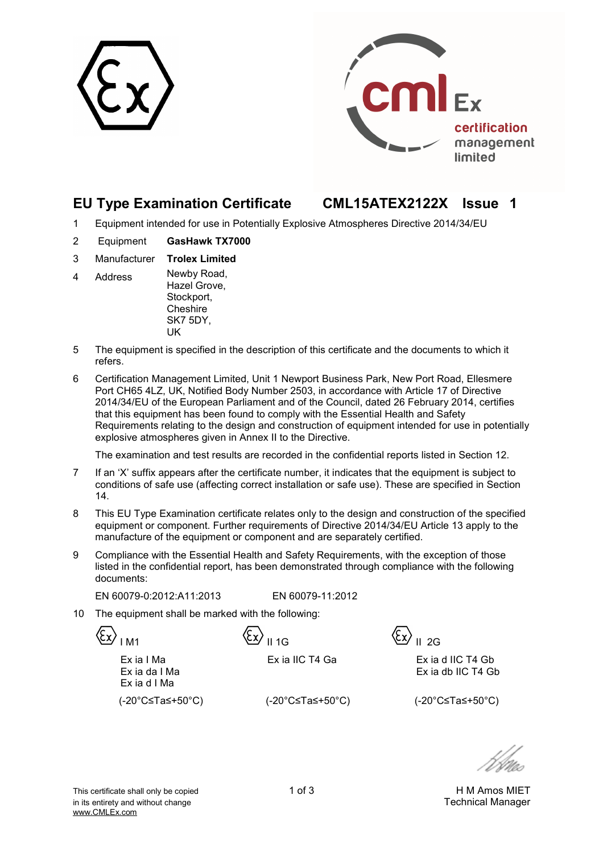



## **EU Type Examination Certificate CML15ATEX2122X Issue 1**

- 1 Equipment intended for use in Potentially Explosive Atmospheres Directive 2014/34/EU
- 2 Equipment **GasHawk TX7000**
- 3 Manufacturer **Trolex Limited**
- 4 Address Newby Road, Hazel Grove, Stockport, Cheshire SK7 5DY, UK
- 5 The equipment is specified in the description of this certificate and the documents to which it refers.
- 6 Certification Management Limited, Unit 1 Newport Business Park, New Port Road, Ellesmere Port CH65 4LZ, UK, Notified Body Number 2503, in accordance with Article 17 of Directive 2014/34/EU of the European Parliament and of the Council, dated 26 February 2014, certifies that this equipment has been found to comply with the Essential Health and Safety Requirements relating to the design and construction of equipment intended for use in potentially explosive atmospheres given in Annex II to the Directive.

The examination and test results are recorded in the confidential reports listed in Section 12.

- 7 If an 'X' suffix appears after the certificate number, it indicates that the equipment is subject to conditions of safe use (affecting correct installation or safe use). These are specified in Section 14.
- 8 This EU Type Examination certificate relates only to the design and construction of the specified equipment or component. Further requirements of Directive 2014/34/EU Article 13 apply to the manufacture of the equipment or component and are separately certified.
- 9 Compliance with the Essential Health and Safety Requirements, with the exception of those listed in the confidential report, has been demonstrated through compliance with the following documents:

EN 60079-0:2012:A11:2013 EN 60079-11:2012

10 The equipment shall be marked with the following:

 $\langle \xi_{\mathbf{x}} \rangle$ <sub>IM1</sub>  $\langle \xi_{\mathbf{x}} \rangle$ <sub>II 1G</sub>  $\langle \xi_{\mathbf{x}} \rangle$ <sub>II 2G</sub>

Ex ia IIC T4 Ga Ex ia d IIC T4 Gb Ex ia db IIC T4 Gb

 Ex ia I Ma Ex ia da I Ma Ex ia d I Ma

(-20°C≤Ta≤+50°C) (-20°C≤Ta≤+50°C) (-20°C≤Ta≤+50°C)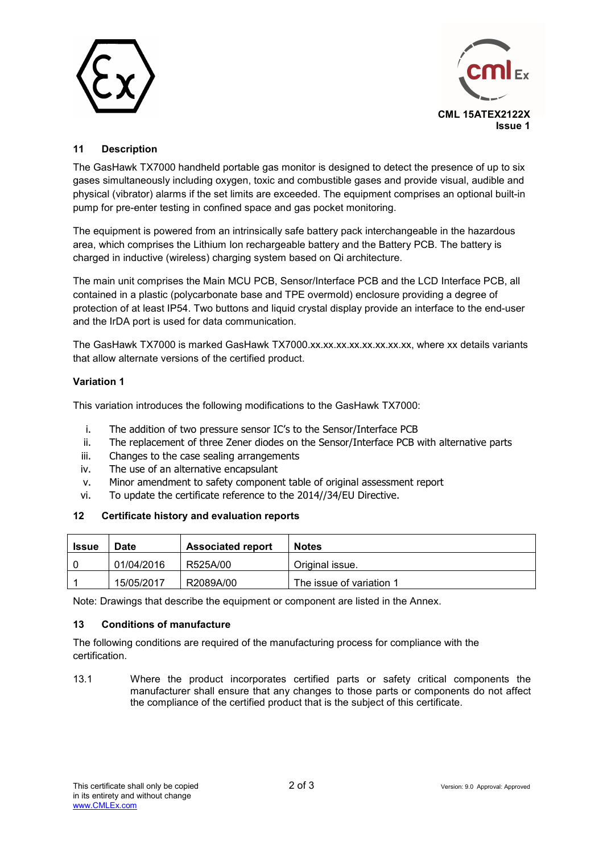



## **11 Description**

The GasHawk TX7000 handheld portable gas monitor is designed to detect the presence of up to six gases simultaneously including oxygen, toxic and combustible gases and provide visual, audible and physical (vibrator) alarms if the set limits are exceeded. The equipment comprises an optional built-in pump for pre-enter testing in confined space and gas pocket monitoring.

The equipment is powered from an intrinsically safe battery pack interchangeable in the hazardous area, which comprises the Lithium Ion rechargeable battery and the Battery PCB. The battery is charged in inductive (wireless) charging system based on Qi architecture.

The main unit comprises the Main MCU PCB, Sensor/Interface PCB and the LCD Interface PCB, all contained in a plastic (polycarbonate base and TPE overmold) enclosure providing a degree of protection of at least IP54. Two buttons and liquid crystal display provide an interface to the end-user and the IrDA port is used for data communication.

The GasHawk TX7000 is marked GasHawk TX7000.xx.xx.xx.xx.xx.xx.xx.xx, where xx details variants that allow alternate versions of the certified product.

#### **Variation 1**

This variation introduces the following modifications to the GasHawk TX7000:

- i. The addition of two pressure sensor IC's to the Sensor/Interface PCB
- ii. The replacement of three Zener diodes on the Sensor/Interface PCB with alternative parts
- iii. Changes to the case sealing arrangements
- iv. The use of an alternative encapsulant
- v. Minor amendment to safety component table of original assessment report
- vi. To update the certificate reference to the 2014//34/EU Directive.

#### **12 Certificate history and evaluation reports**

| <b>Issue</b> | Date       | <b>Associated report</b> | <b>Notes</b>             |
|--------------|------------|--------------------------|--------------------------|
|              | 01/04/2016 | R525A/00                 | Original issue.          |
|              | 15/05/2017 | R2089A/00                | The issue of variation 1 |

Note: Drawings that describe the equipment or component are listed in the Annex.

#### **13 Conditions of manufacture**

The following conditions are required of the manufacturing process for compliance with the certification.

13.1 Where the product incorporates certified parts or safety critical components the manufacturer shall ensure that any changes to those parts or components do not affect the compliance of the certified product that is the subject of this certificate.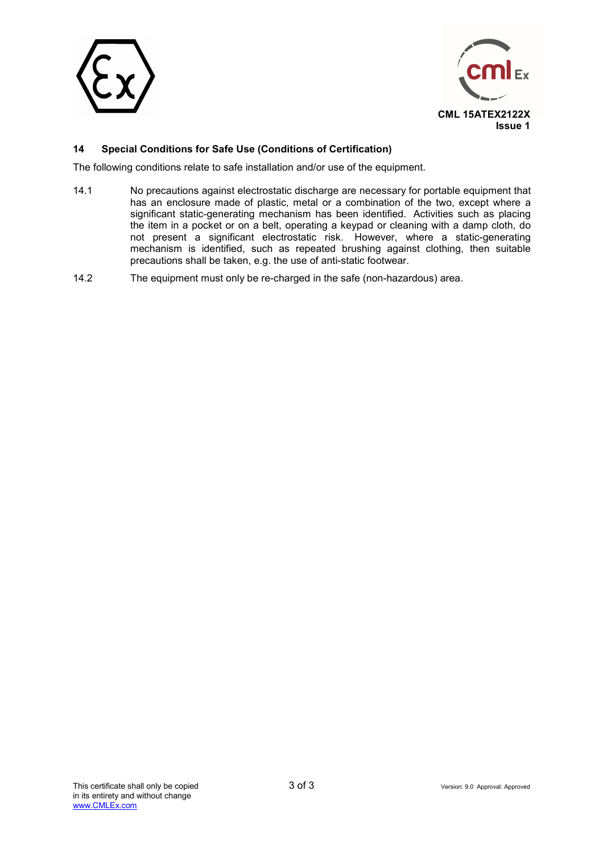



## **14 Special Conditions for Safe Use (Conditions of Certification)**

The following conditions relate to safe installation and/or use of the equipment.

- 14.1 No precautions against electrostatic discharge are necessary for portable equipment that has an enclosure made of plastic, metal or a combination of the two, except where a significant static-generating mechanism has been identified. Activities such as placing the item in a pocket or on a belt, operating a keypad or cleaning with a damp cloth, do not present a significant electrostatic risk. However, where a static-generating mechanism is identified, such as repeated brushing against clothing, then suitable precautions shall be taken, e.g. the use of anti-static footwear.
- 14.2 The equipment must only be re-charged in the safe (non-hazardous) area.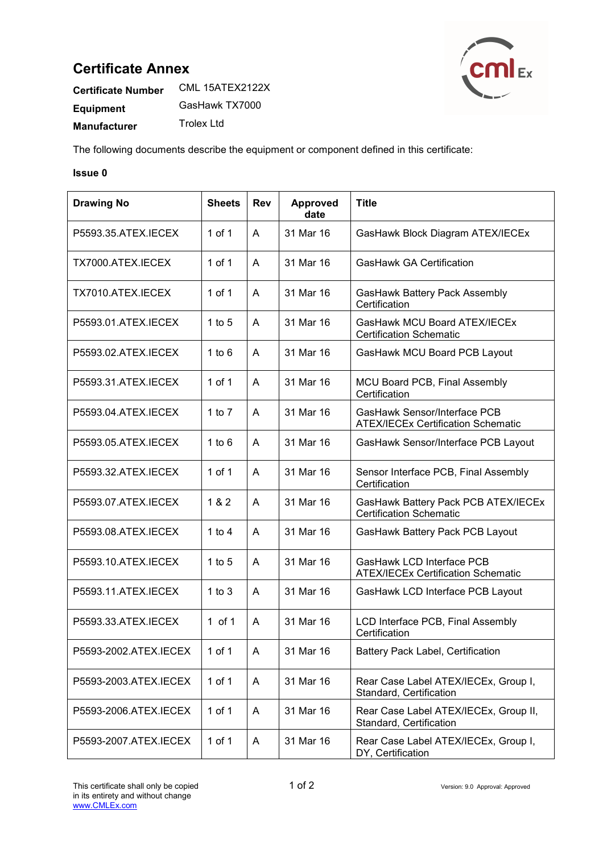## **Certificate Annex**



| <b>Certificate Number</b> | CML 15ATEX2122X |  |  |
|---------------------------|-----------------|--|--|
| Equipment                 | GasHawk TX7000  |  |  |
| <b>Manufacturer</b>       | Trolex Ltd      |  |  |

The following documents describe the equipment or component defined in this certificate:

#### **Issue 0**

| <b>Drawing No</b>     | <b>Sheets</b> | <b>Rev</b> | <b>Approved</b><br>date | <b>Title</b>                                                              |
|-----------------------|---------------|------------|-------------------------|---------------------------------------------------------------------------|
| P5593.35.ATEX.IECEX   | $1$ of $1$    | A          | 31 Mar 16               | GasHawk Block Diagram ATEX/IECEx                                          |
| TX7000.ATEX.IECEX     | $1$ of $1$    | A          | 31 Mar 16               | <b>GasHawk GA Certification</b>                                           |
| TX7010.ATEX.IECEX     | $1$ of $1$    | A          | 31 Mar 16               | GasHawk Battery Pack Assembly<br>Certification                            |
| P5593.01.ATEX.IECEX   | 1 to $5$      | A          | 31 Mar 16               | GasHawk MCU Board ATEX/IECEx<br><b>Certification Schematic</b>            |
| P5593.02.ATEX.IECEX   | 1 to $6$      | A          | 31 Mar 16               | GasHawk MCU Board PCB Layout                                              |
| P5593.31.ATEX.IECEX   | 1 of 1        | Α          | 31 Mar 16               | MCU Board PCB, Final Assembly<br>Certification                            |
| P5593.04.ATEX.IECEX   | 1 to $7$      | A          | 31 Mar 16               | GasHawk Sensor/Interface PCB<br><b>ATEX/IECEx Certification Schematic</b> |
| P5593.05.ATEX.IECEX   | 1 to $6$      | A          | 31 Mar 16               | GasHawk Sensor/Interface PCB Layout                                       |
| P5593.32.ATEX.IECEX   | $1$ of $1$    | A          | 31 Mar 16               | Sensor Interface PCB, Final Assembly<br>Certification                     |
| P5593.07.ATEX.IECEX   | 1 & 2         | A          | 31 Mar 16               | GasHawk Battery Pack PCB ATEX/IECEx<br><b>Certification Schematic</b>     |
| P5593.08.ATEX.IECEX   | 1 to $4$      | A          | 31 Mar 16               | GasHawk Battery Pack PCB Layout                                           |
| P5593.10.ATEX.IECEX   | $1$ to $5$    | A          | 31 Mar 16               | GasHawk LCD Interface PCB<br><b>ATEX/IECEx Certification Schematic</b>    |
| P5593.11.ATEX.IECEX   | $1$ to $3$    | A          | 31 Mar 16               | GasHawk LCD Interface PCB Layout                                          |
| P5593.33.ATEX.IECEX   | $1$ of $1$    | A          | 31 Mar 16               | LCD Interface PCB, Final Assembly<br>Certification                        |
| P5593-2002.ATEX.IECEX | 1 of 1        | A          | 31 Mar 16               | <b>Battery Pack Label, Certification</b>                                  |
| P5593-2003.ATEX.IECEX | 1 of 1        | A          | 31 Mar 16               | Rear Case Label ATEX/IECEx, Group I,<br>Standard, Certification           |
| P5593-2006.ATEX.IECEX | 1 of 1        | A          | 31 Mar 16               | Rear Case Label ATEX/IECEx, Group II,<br>Standard, Certification          |
| P5593-2007.ATEX.IECEX | 1 of 1        | A          | 31 Mar 16               | Rear Case Label ATEX/IECEx, Group I,<br>DY, Certification                 |